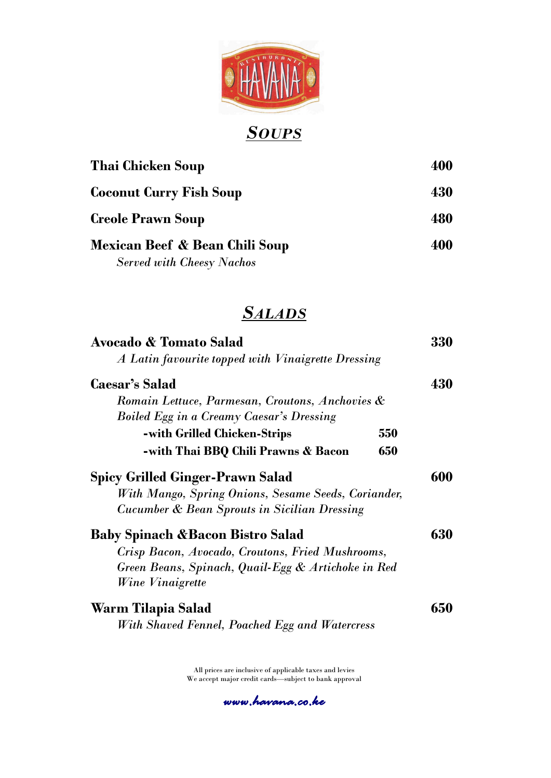

# *SOUPS*

| Thai Chicken Soup                                                  |     |
|--------------------------------------------------------------------|-----|
| <b>Coconut Curry Fish Soup</b>                                     | 430 |
| <b>Creole Prawn Soup</b>                                           | 480 |
| Mexican Beef & Bean Chili Soup<br><b>Served with Cheesy Nachos</b> | 400 |

# *SALADS*

| Avocado & Tomato Salad                                  |     | 330 |
|---------------------------------------------------------|-----|-----|
| A Latin favourite topped with Vinaigrette Dressing      |     |     |
| <b>Caesar's Salad</b>                                   |     | 430 |
| Romain Lettuce, Parmesan, Croutons, Anchovies &         |     |     |
| <b>Boiled Egg in a Creamy Caesar's Dressing</b>         |     |     |
| -with Grilled Chicken-Strips                            | 550 |     |
| -with Thai BBQ Chili Prawns & Bacon                     | 650 |     |
| <b>Spicy Grilled Ginger-Prawn Salad</b>                 |     | 600 |
| With Mango, Spring Onions, Sesame Seeds, Coriander,     |     |     |
| <b>Cucumber &amp; Bean Sprouts in Sicilian Dressing</b> |     |     |
| <b>Baby Spinach &amp;Bacon Bistro Salad</b>             |     | 630 |
| Crisp Bacon, Avocado, Croutons, Fried Mushrooms,        |     |     |
| Green Beans, Spinach, Quail-Egg & Artichoke in Red      |     |     |
| <i>Wine Vinaigrette</i>                                 |     |     |
| Warm Tilapia Salad                                      |     | 650 |
| With Shaved Fennel, Poached Egg and Watercress          |     |     |

All prices are inclusive of applicable taxes and levies We accept major credit cards—subject to bank approval

*www.havana.co.ke*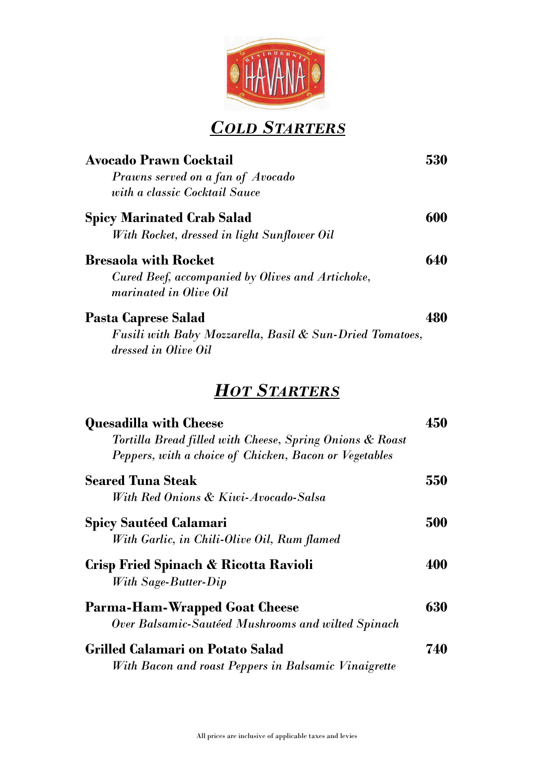

*COLD STARTERS*

| <b>Avocado Prawn Cocktail</b><br>Prawns served on a fan of Avocado<br>with a classic Cocktail Sauce                                                 | 530 |
|-----------------------------------------------------------------------------------------------------------------------------------------------------|-----|
| <b>Spicy Marinated Crab Salad</b><br>With Rocket, dressed in light Sunflower Oil                                                                    | 600 |
| <b>Bresaola with Rocket</b><br>Cured Beef, accompanied by Olives and Artichoke,<br>marinated in Olive Oil                                           | 640 |
| <b>Pasta Caprese Salad</b><br><b>Fusili with Baby Mozzarella, Basil &amp; Sun-Dried Tomatoes,</b><br>dressed in Olive Oil                           | 480 |
| <b>HOT STARTERS</b>                                                                                                                                 |     |
| <b>Quesadilla with Cheese</b><br>Tortilla Bread filled with Cheese, Spring Onions & Roast<br>Peppers, with a choice of Chicken, Bacon or Vegetables | 450 |
| <b>Seared Tuna Steak</b><br>With Red Onions & Kiwi-Avocado-Salsa                                                                                    | 550 |

| <b>Spicy Sautéed Calamari</b><br>With Garlic, in Chili-Olive Oil, Rum flamed                    | 500 |
|-------------------------------------------------------------------------------------------------|-----|
| Crisp Fried Spinach & Ricotta Ravioli<br>With Sage-Butter-Dip                                   | 400 |
| <b>Parma-Ham-Wrapped Goat Cheese</b><br>Over Balsamic-Sautéed Mushrooms and wilted Spinach      | 630 |
| <b>Grilled Calamari on Potato Salad</b><br>With Bacon and roast Peppers in Balsamic Vinaigrette | 740 |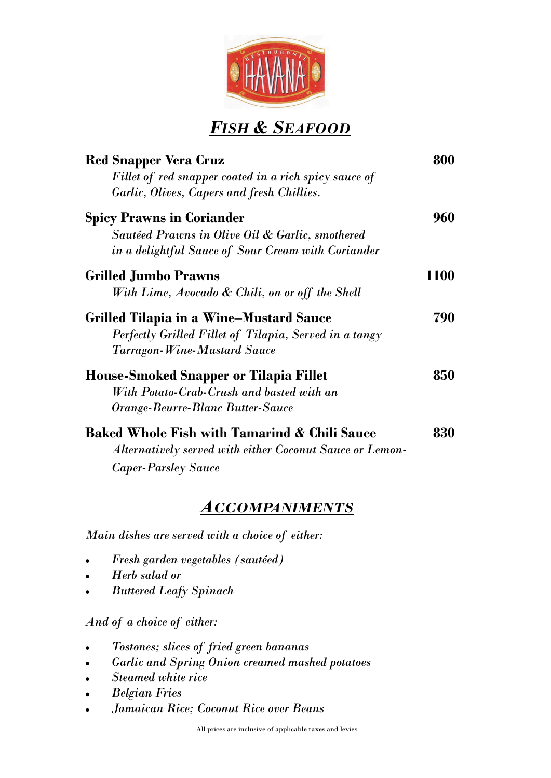

#### *FISH & SEAFOOD*

| <b>Red Snapper Vera Cruz</b>                             | 800  |
|----------------------------------------------------------|------|
| Fillet of red snapper coated in a rich spicy sauce of    |      |
| Garlic, Olives, Capers and fresh Chillies.               |      |
| <b>Spicy Prawns in Coriander</b>                         | 960  |
| Sautéed Prawns in Olive Oil & Garlic, smothered          |      |
| in a delightful Sauce of Sour Cream with Coriander       |      |
| <b>Grilled Jumbo Prawns</b>                              | 1100 |
| With Lime, Avocado & Chili, on or off the Shell          |      |
| <b>Grilled Tilapia in a Wine–Mustard Sauce</b>           | 790  |
| Perfectly Grilled Fillet of Tilapia, Served in a tangy   |      |
| <b>Tarragon-Wine-Mustard Sauce</b>                       |      |
| <b>House-Smoked Snapper or Tilapia Fillet</b>            | 850  |
| With Potato-Crab-Crush and basted with an                |      |
| Orange-Beurre-Blanc Butter-Sauce                         |      |
| <b>Baked Whole Fish with Tamarind &amp; Chili Sauce</b>  | 830  |
| Alternatively served with either Coconut Sauce or Lemon- |      |
| <b>Caper-Parsley Sauce</b>                               |      |

#### *ACCOMPANIMENTS*

*Main dishes are served with a choice of either:*

- *Fresh garden vegetables (sautéed)*
- *Herb salad or*
- *Buttered Leafy Spinach*

*And of a choice of either:*

- *Tostones; slices of fried green bananas*
- *Garlic and Spring Onion creamed mashed potatoes*
- *Steamed white rice*
- *Belgian Fries*
- *Jamaican Rice; Coconut Rice over Beans*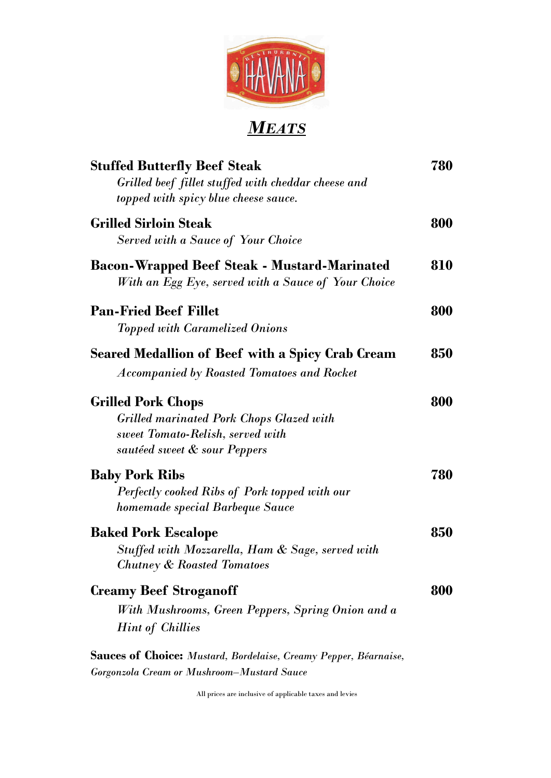

# *MEATS*

| <b>Stuffed Butterfly Beef Steak</b><br>Grilled beef fillet stuffed with cheddar cheese and<br>topped with spicy blue cheese sauce.               | 780 |
|--------------------------------------------------------------------------------------------------------------------------------------------------|-----|
| <b>Grilled Sirloin Steak</b><br><b>Served with a Sauce of Your Choice</b>                                                                        | 800 |
| <b>Bacon-Wrapped Beef Steak - Mustard-Marinated</b><br>With an Egg Eye, served with a Sauce of Your Choice                                       | 810 |
| <b>Pan-Fried Beef Fillet</b><br><b>Topped with Caramelized Onions</b>                                                                            | 800 |
| Seared Medallion of Beef with a Spicy Crab Cream<br><i>Accompanied by Roasted Tomatoes and Rocket</i>                                            | 850 |
| <b>Grilled Pork Chops</b><br><b>Grilled marinated Pork Chops Glazed with</b><br>sweet Tomato-Relish, served with<br>sautéed sweet & sour Peppers | 800 |
| <b>Baby Pork Ribs</b><br>Perfectly cooked Ribs of Pork topped with our<br>homemade special Barbeque Sauce                                        | 780 |
| <b>Baked Pork Escalope</b><br>Stuffed with Mozzarella, Ham & Sage, served with<br><b>Chutney &amp; Roasted Tomatoes</b>                          | 850 |
| <b>Creamy Beef Stroganoff</b><br>With Mushrooms, Green Peppers, Spring Onion and a<br><b>Hint of Chillies</b>                                    | 800 |
| Sauces of Choice: Mustard, Bordelaise, Creamy Pepper, Béarnaise,                                                                                 |     |

*Gorgonzola Cream or Mushroom–Mustard Sauce*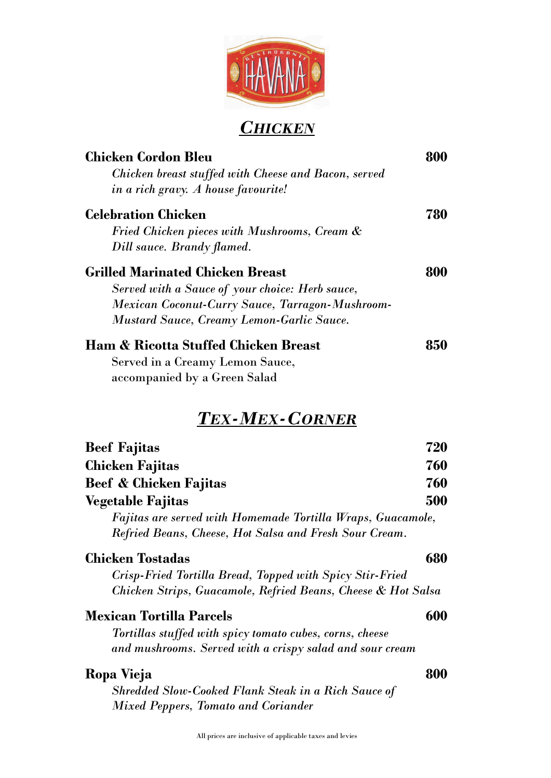

### *CHICKEN*

| <b>Chicken Cordon Bleu</b>                           | 800 |
|------------------------------------------------------|-----|
| Chicken breast stuffed with Cheese and Bacon, served |     |
| in a rich gravy. A house favourite!                  |     |
| <b>Celebration Chicken</b>                           | 780 |
| Fried Chicken pieces with Mushrooms, Cream &         |     |
| Dill sauce. Brandy flamed.                           |     |
| <b>Grilled Marinated Chicken Breast</b>              | 800 |
| Served with a Sauce of your choice: Herb sauce,      |     |
| Mexican Coconut-Curry Sauce, Tarragon-Mushroom-      |     |
| <b>Mustard Sauce, Creamy Lemon-Garlic Sauce.</b>     |     |
| <b>Ham &amp; Ricotta Stuffed Chicken Breast</b>      | 850 |
| Served in a Creamy Lemon Sauce,                      |     |
| accompanied by a Green Salad                         |     |

# *TEX-MEX-CORNER*

| <b>Beef Fajitas</b>                                                | 720 |
|--------------------------------------------------------------------|-----|
| Chicken Fajitas                                                    | 760 |
| <b>Beef &amp; Chicken Fajitas</b>                                  | 760 |
| <b>Vegetable Fajitas</b>                                           | 500 |
| <b>Fajitas are served with Homemade Tortilla Wraps, Guacamole,</b> |     |
| Refried Beans, Cheese, Hot Salsa and Fresh Sour Cream.             |     |
| <b>Chicken Tostadas</b>                                            | 680 |
| Crisp-Fried Tortilla Bread, Topped with Spicy Stir-Fried           |     |
| Chicken Strips, Guacamole, Refried Beans, Cheese & Hot Salsa       |     |
| <b>Mexican Tortilla Parcels</b>                                    | 600 |
| Tortillas stuffed with spicy tomato cubes, corns, cheese           |     |
| and mushrooms. Served with a crispy salad and sour cream           |     |
| Ropa Vieja                                                         | 80A |
| <b>Shredded Slow-Cooked Flank Steak in a Rich Sauce of</b>         |     |
| <b>Mixed Peppers, Tomato and Coriander</b>                         |     |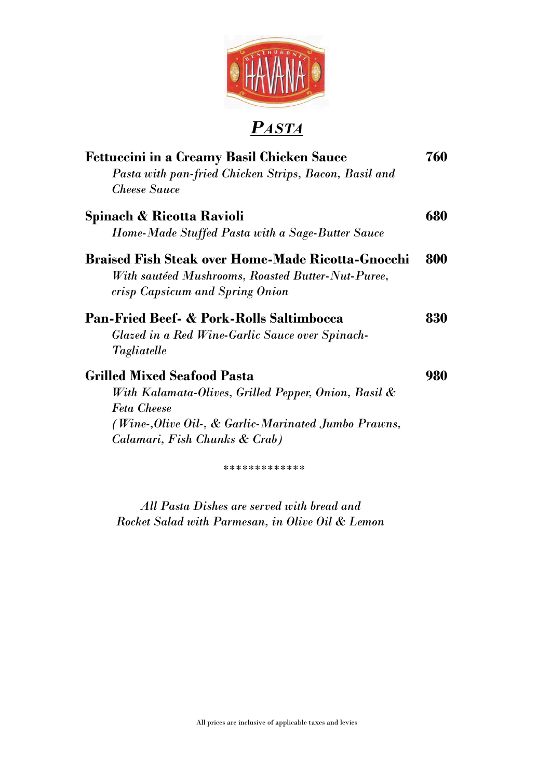

# *PASTA*

| Pasta with pan-fried Chicken Strips, Bacon, Basil and<br><b>Cheese Sauce</b> | 680 |
|------------------------------------------------------------------------------|-----|
|                                                                              |     |
|                                                                              |     |
| Spinach & Ricotta Ravioli                                                    |     |
| Home-Made Stuffed Pasta with a Sage-Butter Sauce                             |     |
| <b>Braised Fish Steak over Home-Made Ricotta-Gnocchi</b>                     | 800 |
| With sautéed Mushrooms, Roasted Butter-Nut-Puree,                            |     |
| crisp Capsicum and Spring Onion                                              |     |
| <b>Pan-Fried Beef- &amp; Pork-Rolls Saltimbocca</b>                          | 830 |
| Glazed in a Red Wine-Garlic Sauce over Spinach-                              |     |
| Tagliatelle                                                                  |     |
| <b>Grilled Mixed Seafood Pasta</b>                                           | 980 |
| With Kalamata-Olives, Grilled Pepper, Onion, Basil &                         |     |
| <b>Feta Cheese</b>                                                           |     |
| (Wine-,Olive Oil-, & Garlic-Marinated Jumbo Prawns,                          |     |
| Calamari, Fish Chunks & Crab)                                                |     |
| *************                                                                |     |

*All Pasta Dishes are served with bread and Rocket Salad with Parmesan, in Olive Oil & Lemon*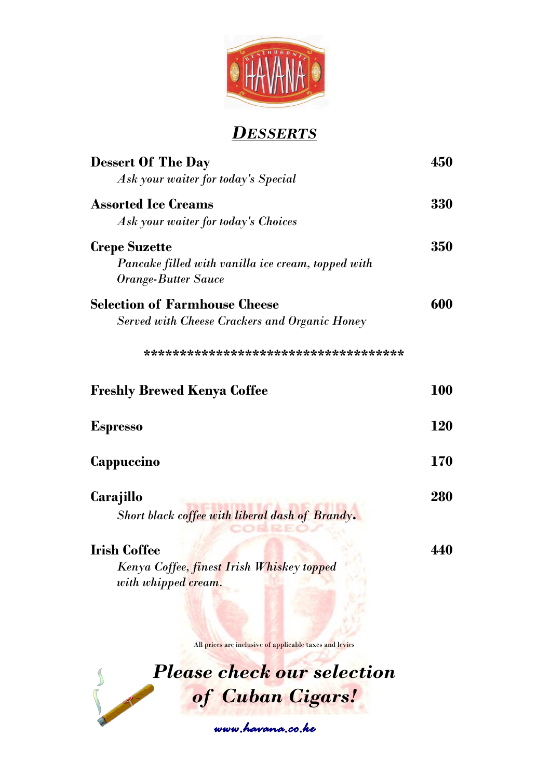

### *DESSERTS*

| <b>Dessert Of The Day</b><br>Ask your waiter for today's Special                                         | 450        |
|----------------------------------------------------------------------------------------------------------|------------|
| <b>Assorted Ice Creams</b><br>Ask your waiter for today's Choices                                        | 330        |
| <b>Crepe Suzette</b><br>Pancake filled with vanilla ice cream, topped with<br><b>Orange-Butter Sauce</b> | 350        |
| <b>Selection of Farmhouse Cheese</b><br><b>Served with Cheese Crackers and Organic Honey</b>             | 600        |
| **************************************                                                                   |            |
| <b>Freshly Brewed Kenya Coffee</b>                                                                       | <b>100</b> |
| <b>Espresso</b>                                                                                          | <b>120</b> |
| Cappuccino                                                                                               | <b>170</b> |
| Carajillo<br>Short black coffee with liberal dash of Brandy.                                             | 280        |
| <b>Irish Coffee</b><br>Kenya Coffee, finest Irish Whiskey topped<br>with whipped cream.                  | 440        |

All prices are inclusive of applicable taxes and levies



*www.havana.co.ke*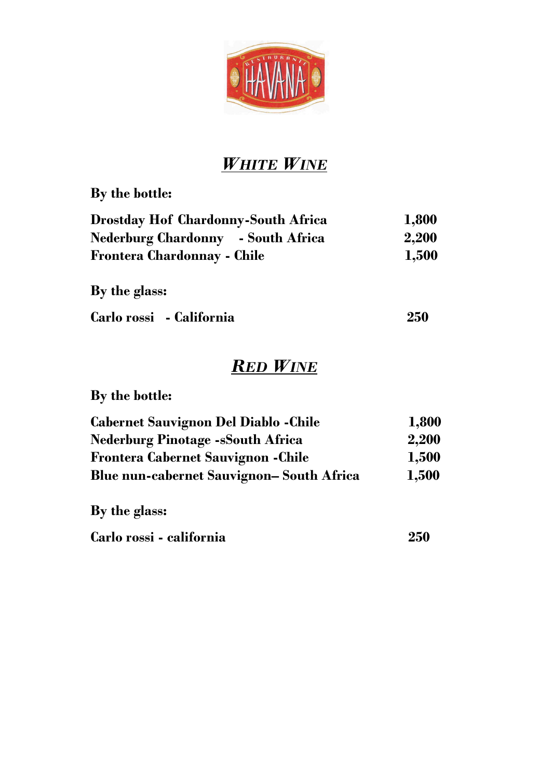

# *WHITE WINE*

**By the bottle:**

| <b>Drostday Hof Chardonny-South Africa</b> | 1,800 |
|--------------------------------------------|-------|
| <b>Nederburg Chardonny</b> - South Africa  | 2,200 |
| <b>Frontera Chardonnay - Chile</b>         | 1,500 |

**By the glass:**

| Carlo rossi - California | 250 |
|--------------------------|-----|
|                          |     |

# *RED WINE*

**By the bottle:**

| <b>Cabernet Sauvignon Del Diablo - Chile</b>     | 1,800 |
|--------------------------------------------------|-------|
| <b>Nederburg Pinotage -sSouth Africa</b>         | 2,200 |
| <b>Frontera Cabernet Sauvignon - Chile</b>       | 1,500 |
| <b>Blue nun-cabernet Sauvignon– South Africa</b> | 1,500 |
|                                                  |       |

**By the glass:**

| Carlo rossi - california | 250 |
|--------------------------|-----|
|                          |     |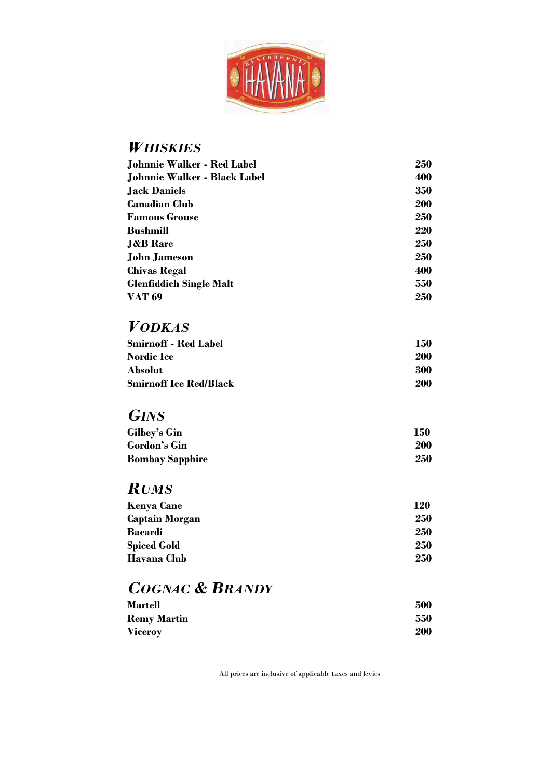

#### *WHISKIES*

| 250        |
|------------|
| 400        |
| 350        |
| <b>200</b> |
| 250        |
| 220        |
| 250        |
| 250        |
| 400        |
| 550        |
| 250        |
|            |

### *VODKAS*

| <b>Smirnoff - Red Label</b>   | 150 |
|-------------------------------|-----|
| <b>Nordic Ice</b>             | 200 |
| Absolut                       | 300 |
| <b>Smirnoff Ice Red/Black</b> | 200 |

### *GINS*

| Gilbey's Gin           | 150 |
|------------------------|-----|
| Gordon's Gin           | 200 |
| <b>Bombay Sapphire</b> | 250 |

### *RUMS*

| <b>Kenya Cane</b>  | 120 |
|--------------------|-----|
| Captain Morgan     | 250 |
| <b>Bacardi</b>     | 250 |
| <b>Spiced Gold</b> | 250 |
| Havana Club        | 250 |

# *COGNAC & BRANDY*

| <b>Martell</b>     | 500 |
|--------------------|-----|
| <b>Remy Martin</b> | 550 |
| <b>Viceroy</b>     | 200 |